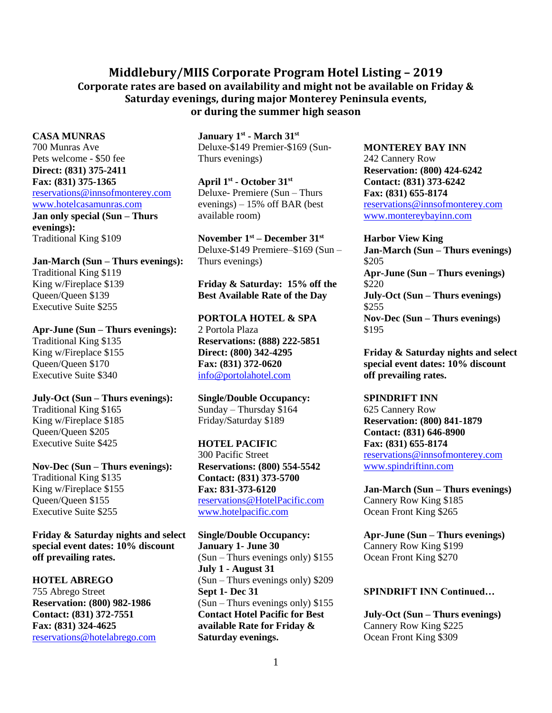# **Middlebury/MIIS Corporate Program Hotel Listing – 2019 Corporate rates are based on availability and might not be available on Friday & Saturday evenings, during major Monterey Peninsula events, or during the summer high season**

**CASA MUNRAS** 700 Munras Ave Pets welcome - \$50 fee **Direct: (831) 375-2411 Fax: (831) 375-1365** [reservations@innsofmonterey.com](mailto:reservations@innsofmonterey.com) [www.hotelcasamunras.com](http://www.hotelcasamunras.com/)

**Jan only special (Sun – Thurs evenings):** Traditional King \$109

**Jan-March (Sun – Thurs evenings):** Traditional King \$119 King w/Fireplace \$139 Queen/Queen \$139 Executive Suite \$255

**Apr-June (Sun – Thurs evenings):** Traditional King \$135 King w/Fireplace \$155 Queen/Queen \$170 Executive Suite \$340

**July-Oct (Sun – Thurs evenings):** Traditional King \$165 King w/Fireplace \$185 Queen/Queen \$205 Executive Suite \$425

**Nov-Dec (Sun – Thurs evenings):** Traditional King \$135 King w/Fireplace \$155 Queen/Queen \$155 Executive Suite \$255

**Friday & Saturday nights and select special event dates: 10% discount off prevailing rates.**

## **HOTEL ABREGO**

755 Abrego Street **Reservation: (800) 982-1986 Contact: (831) 372-7551 Fax: (831) 324-4625** [reservations@hotelabrego.com](mailto:reservations@hotelabrego.com)

**January 1st - March 31st** Deluxe-\$149 Premier-\$169 (Sun-Thurs evenings)

**April 1st - October 31st** Deluxe- Premiere (Sun – Thurs evenings) – 15% off BAR (best available room)

**November 1 st – December 31st** Deluxe-\$149 Premiere–\$169 (Sun – Thurs evenings)

## **Friday & Saturday: 15% off the Best Available Rate of the Day**

**PORTOLA HOTEL & SPA** 2 Portola Plaza **Reservations: (888) 222-5851 Direct: (800) 342-4295 Fax: (831) 372-0620** [info@portolahotel.com](mailto:info@portolahotel.com)

**Single/Double Occupancy:** Sunday – Thursday \$164 Friday/Saturday \$189

#### **HOTEL PACIFIC**

300 Pacific Street **Reservations: (800) 554-5542 Contact: (831) 373-5700 Fax: 831-373-6120** [reservations@HotelPacific.com](mailto:reservations@HotelPacific.com) [www.hotelpacific.com](http://www.hotelpacific.com/)

**Single/Double Occupancy: January 1- June 30**  (Sun – Thurs evenings only) \$155 **July 1 - August 31**  (Sun – Thurs evenings only) \$209 **Sept 1- Dec 31** (Sun – Thurs evenings only) \$155 **Contact Hotel Pacific for Best available Rate for Friday & Saturday evenings.**

**MONTEREY BAY INN** 242 Cannery Row **Reservation: (800) 424-6242 Contact: (831) 373-6242 Fax: (831) 655-8174** [reservations@innsofmonterey.com](mailto:reservations@innsofmonterey.com) [www.montereybayinn.com](http://www.montereybayinn.com/)

**Harbor View King Jan-March (Sun – Thurs evenings)**  \$205 **Apr-June (Sun – Thurs evenings)**  \$220 **July-Oct (Sun – Thurs evenings)**  \$255 **Nov-Dec (Sun – Thurs evenings)**  \$195

**Friday & Saturday nights and select special event dates: 10% discount off prevailing rates.**

## **SPINDRIFT INN**

625 Cannery Row **Reservation: (800) 841-1879 Contact: (831) 646-8900 Fax: (831) 655-8174** [reservations@innsofmonterey.com](mailto:reservations@innsofmonterey.com) [www.spindriftinn.com](http://www.spindriftinn.com/)

**Jan-March (Sun – Thurs evenings)** Cannery Row King \$185 Ocean Front King \$265

**Apr-June (Sun – Thurs evenings)** Cannery Row King \$199 Ocean Front King \$270

#### **SPINDRIFT INN Continued…**

**July-Oct (Sun – Thurs evenings)** Cannery Row King \$225 Ocean Front King \$309